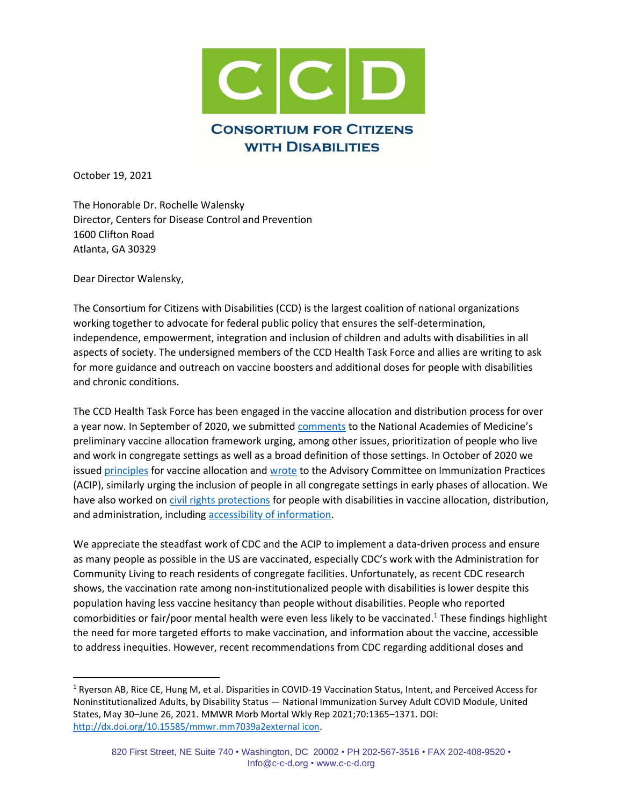

October 19, 2021

The Honorable Dr. Rochelle Walensky Director, Centers for Disease Control and Prevention 1600 Clifton Road Atlanta, GA 30329

Dear Director Walensky,

The Consortium for Citizens with Disabilities (CCD) is the largest coalition of national organizations working together to advocate for federal public policy that ensures the self-determination, independence, empowerment, integration and inclusion of children and adults with disabilities in all aspects of society. The undersigned members of the CCD Health Task Force and allies are writing to ask for more guidance and outreach on vaccine boosters and additional doses for people with disabilities and chronic conditions.

The CCD Health Task Force has been engaged in the vaccine allocation and distribution process for over a year now. In September of 2020, we submitte[d comments](http://c-c-d.org/fichiers/CCD-Vaccine-Allocation-Comments-9-4-20.pdf) to the National Academies of Medicine's preliminary vaccine allocation framework urging, among other issues, prioritization of people who live and work in congregate settings as well as a broad definition of those settings. In October of 2020 we issue[d principles](http://c-c-d.org/fichiers/CCD-Vaccine-Allocation-Principles-October-2020.pdf) for vaccine allocation and [wrote](http://c-c-d.org/fichiers/CCD-Comments-to-CDC-Advisory-Committee-on-Immunization-Practices.pdf) to the Advisory Committee on Immunization Practices (ACIP), similarly urging the inclusion of people in all congregate settings in early phases of allocation. We have also worked o[n civil rights protections](http://c-c-d.org/fichiers/CCD-OCR-Vaccine-Allocation-Letter-9-9-20.pdf) for people with disabilities in vaccine allocation, distribution, and administration, including [accessibility of information.](http://www.c-c-d.org/fichiers/CCD-OCR-COVID-Vaccine-Letter-8-21_FINAL.pdf)

We appreciate the steadfast work of CDC and the ACIP to implement a data-driven process and ensure as many people as possible in the US are vaccinated, especially CDC's work with the Administration for Community Living to reach residents of congregate facilities. Unfortunately, as recent CDC research shows, the vaccination rate among non-institutionalized people with disabilities is lower despite this population having less vaccine hesitancy than people without disabilities. People who reported comorbidities or fair/poor mental health were even less likely to be vaccinated.<sup>1</sup> These findings highlight the need for more targeted efforts to make vaccination, and information about the vaccine, accessible to address inequities. However, recent recommendations from CDC regarding additional doses and

<sup>&</sup>lt;sup>1</sup> Ryerson AB, Rice CE, Hung M, et al. Disparities in COVID-19 Vaccination Status, Intent, and Perceived Access for Noninstitutionalized Adults, by Disability Status — National Immunization Survey Adult COVID Module, United States, May 30–June 26, 2021. MMWR Morb Mortal Wkly Rep 2021;70:1365–1371. DOI: [http://dx.doi.org/10.15585/mmwr.mm7039a2external icon.](http://dx.doi.org/10.15585/mmwr.mm7039a2)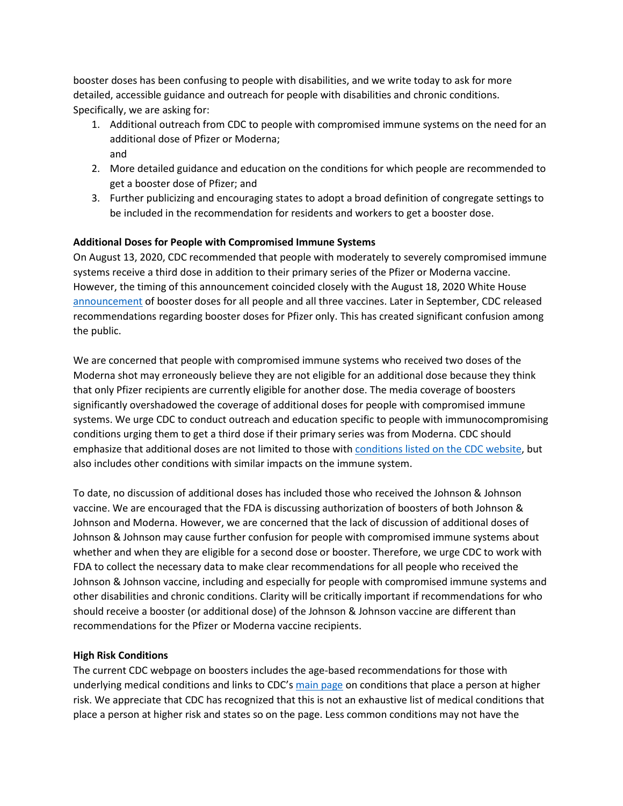booster doses has been confusing to people with disabilities, and we write today to ask for more detailed, accessible guidance and outreach for people with disabilities and chronic conditions. Specifically, we are asking for:

- 1. Additional outreach from CDC to people with compromised immune systems on the need for an additional dose of Pfizer or Moderna; and
- 2. More detailed guidance and education on the conditions for which people are recommended to get a booster dose of Pfizer; and
- 3. Further publicizing and encouraging states to adopt a broad definition of congregate settings to be included in the recommendation for residents and workers to get a booster dose.

## **Additional Doses for People with Compromised Immune Systems**

On August 13, 2020, CDC recommended that people with moderately to severely compromised immune systems receive a third dose in addition to their primary series of the Pfizer or Moderna vaccine. However, the timing of this announcement coincided closely with the August 18, 2020 White House [announcement](https://www.whitehouse.gov/briefing-room/statements-releases/2021/08/18/fact-sheet-president-biden-to-announce-new-actions-to-protect-americans-from-covid-19-and-help-state-and-local-leaders-fight-the-virus/) of booster doses for all people and all three vaccines. Later in September, CDC released recommendations regarding booster doses for Pfizer only. This has created significant confusion among the public.

We are concerned that people with compromised immune systems who received two doses of the Moderna shot may erroneously believe they are not eligible for an additional dose because they think that only Pfizer recipients are currently eligible for another dose. The media coverage of boosters significantly overshadowed the coverage of additional doses for people with compromised immune systems. We urge CDC to conduct outreach and education specific to people with immunocompromising conditions urging them to get a third dose if their primary series was from Moderna. CDC should emphasize that additional doses are not limited to those with [conditions listed on the CDC website,](https://www.cdc.gov/coronavirus/2019-ncov/vaccines/recommendations/immuno.html) but also includes other conditions with similar impacts on the immune system.

To date, no discussion of additional doses has included those who received the Johnson & Johnson vaccine. We are encouraged that the FDA is discussing authorization of boosters of both Johnson & Johnson and Moderna. However, we are concerned that the lack of discussion of additional doses of Johnson & Johnson may cause further confusion for people with compromised immune systems about whether and when they are eligible for a second dose or booster. Therefore, we urge CDC to work with FDA to collect the necessary data to make clear recommendations for all people who received the Johnson & Johnson vaccine, including and especially for people with compromised immune systems and other disabilities and chronic conditions. Clarity will be critically important if recommendations for who should receive a booster (or additional dose) of the Johnson & Johnson vaccine are different than recommendations for the Pfizer or Moderna vaccine recipients.

## **High Risk Conditions**

The current CDC webpage on boosters includes the age-based recommendations for those with underlying medical conditions and links to CDC's [main page](https://www.cdc.gov/coronavirus/2019-ncov/need-extra-precautions/people-with-medical-conditions.html) on conditions that place a person at higher risk. We appreciate that CDC has recognized that this is not an exhaustive list of medical conditions that place a person at higher risk and states so on the page. Less common conditions may not have the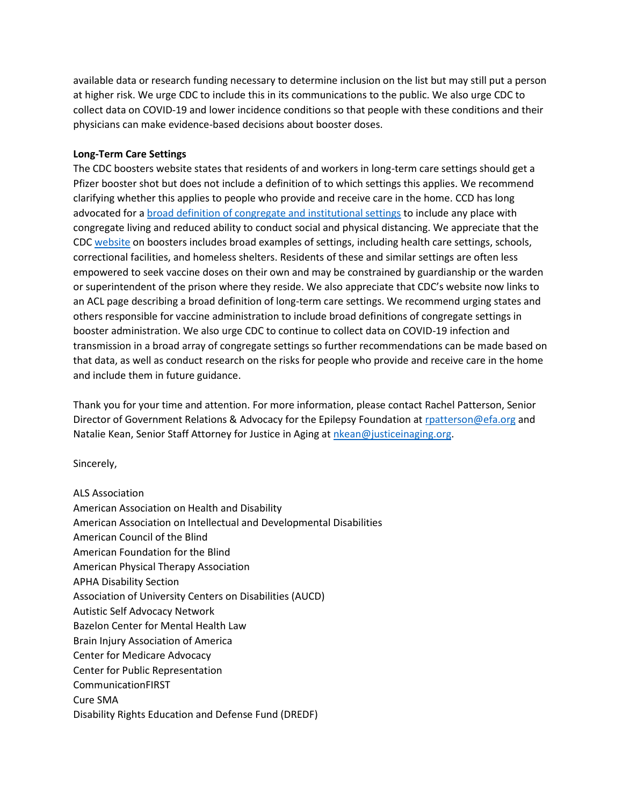available data or research funding necessary to determine inclusion on the list but may still put a person at higher risk. We urge CDC to include this in its communications to the public. We also urge CDC to collect data on COVID-19 and lower incidence conditions so that people with these conditions and their physicians can make evidence-based decisions about booster doses.

## **Long-Term Care Settings**

The CDC boosters website states that residents of and workers in long-term care settings should get a Pfizer booster shot but does not include a definition of to which settings this applies. We recommend clarifying whether this applies to people who provide and receive care in the home. CCD has long advocated for [a broad definition of congregate and institutional settings](https://www.cdc.gov/coronavirus/2019-ncov/vaccines/recommendations/immuno.html) to include any place with congregate living and reduced ability to conduct social and physical distancing. We appreciate that the CDC [website](https://www.cdc.gov/coronavirus/2019-ncov/vaccines/booster-shot.html#HighRisk) on boosters includes broad examples of settings, including health care settings, schools, correctional facilities, and homeless shelters. Residents of these and similar settings are often less empowered to seek vaccine doses on their own and may be constrained by guardianship or the warden or superintendent of the prison where they reside. We also appreciate that CDC's website now links to an ACL page describing a broad definition of long-term care settings. We recommend urging states and others responsible for vaccine administration to include broad definitions of congregate settings in booster administration. We also urge CDC to continue to collect data on COVID-19 infection and transmission in a broad array of congregate settings so further recommendations can be made based on that data, as well as conduct research on the risks for people who provide and receive care in the home and include them in future guidance.

Thank you for your time and attention. For more information, please contact Rachel Patterson, Senior Director of Government Relations & Advocacy for the Epilepsy Foundation at [rpatterson@efa.org](mailto:rpatterson@efa.org) and Natalie Kean, Senior Staff Attorney for Justice in Aging a[t nkean@justiceinaging.org.](mailto:nkean@justiceinaging.org)

Sincerely,

ALS Association American Association on Health and Disability American Association on Intellectual and Developmental Disabilities American Council of the Blind American Foundation for the Blind American Physical Therapy Association APHA Disability Section Association of University Centers on Disabilities (AUCD) Autistic Self Advocacy Network Bazelon Center for Mental Health Law Brain Injury Association of America Center for Medicare Advocacy Center for Public Representation CommunicationFIRST Cure SMA Disability Rights Education and Defense Fund (DREDF)